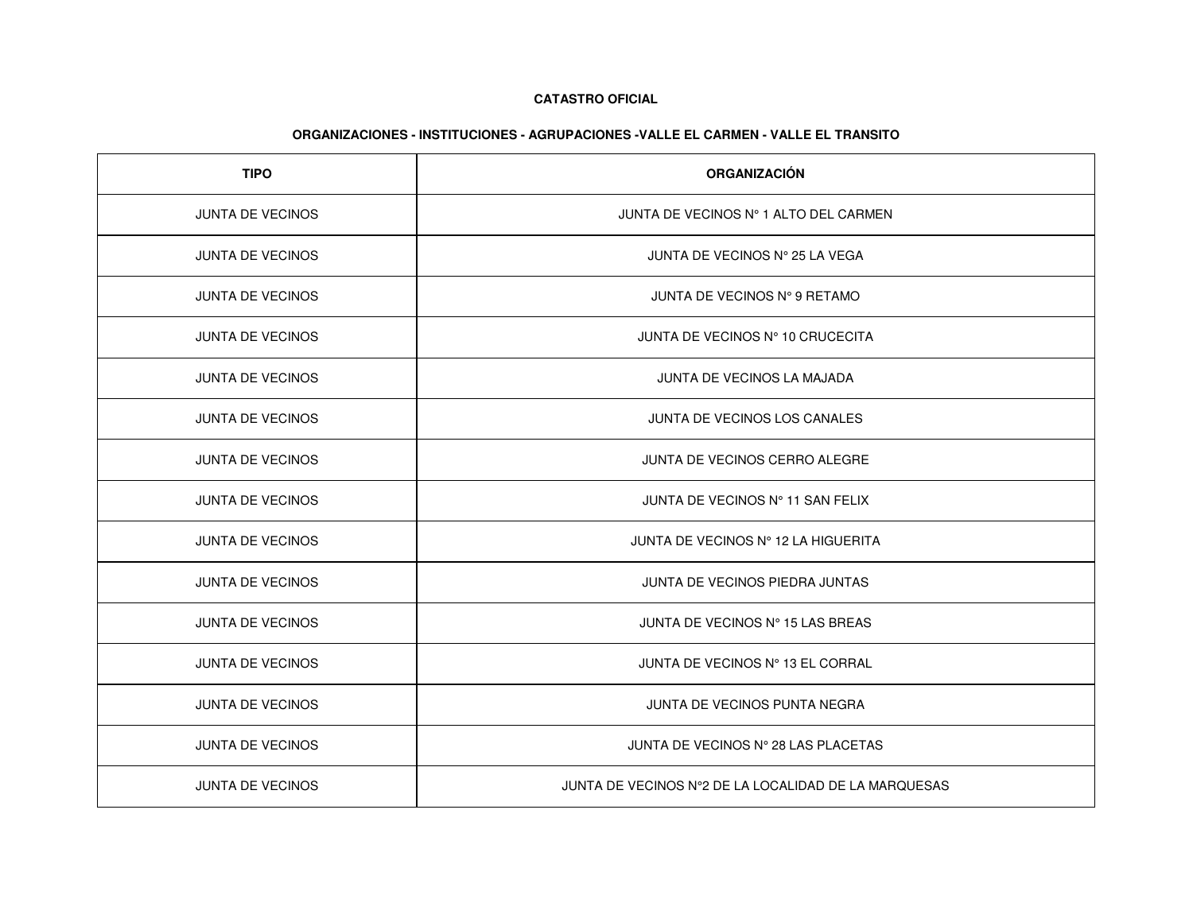| <b>TIPO</b>             | <b>ORGANIZACIÓN</b>                                  |
|-------------------------|------------------------------------------------------|
| <b>JUNTA DE VECINOS</b> | JUNTA DE VECINOS Nº 1 ALTO DEL CARMEN                |
| <b>JUNTA DE VECINOS</b> | JUNTA DE VECINOS Nº 25 LA VEGA                       |
| <b>JUNTA DE VECINOS</b> | JUNTA DE VECINOS Nº 9 RETAMO                         |
| <b>JUNTA DE VECINOS</b> | JUNTA DE VECINOS Nº 10 CRUCECITA                     |
| <b>JUNTA DE VECINOS</b> | JUNTA DE VECINOS LA MAJADA                           |
| JUNTA DE VECINOS        | JUNTA DE VECINOS LOS CANALES                         |
| <b>JUNTA DE VECINOS</b> | JUNTA DE VECINOS CERRO ALEGRE                        |
| <b>JUNTA DE VECINOS</b> | JUNTA DE VECINOS Nº 11 SAN FELIX                     |
| <b>JUNTA DE VECINOS</b> | JUNTA DE VECINOS Nº 12 LA HIGUERITA                  |
| <b>JUNTA DE VECINOS</b> | JUNTA DE VECINOS PIEDRA JUNTAS                       |
| <b>JUNTA DE VECINOS</b> | JUNTA DE VECINOS Nº 15 LAS BREAS                     |
| JUNTA DE VECINOS        | JUNTA DE VECINOS Nº 13 EL CORRAL                     |
| <b>JUNTA DE VECINOS</b> | JUNTA DE VECINOS PUNTA NEGRA                         |
| JUNTA DE VECINOS        | JUNTA DE VECINOS Nº 28 LAS PLACETAS                  |
| <b>JUNTA DE VECINOS</b> | JUNTA DE VECINOS Nº2 DE LA LOCALIDAD DE LA MARQUESAS |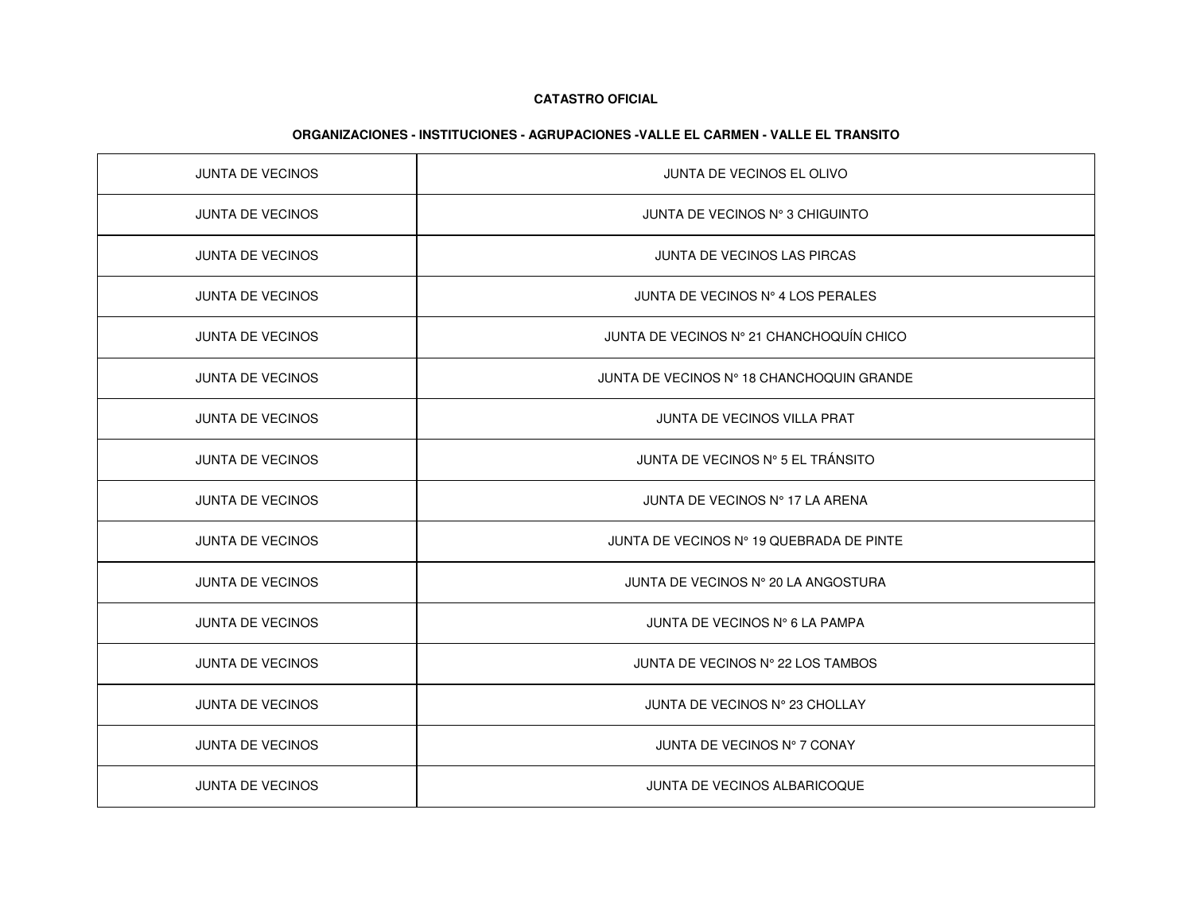| <b>JUNTA DE VECINOS</b> | JUNTA DE VECINOS EL OLIVO                 |
|-------------------------|-------------------------------------------|
| <b>JUNTA DE VECINOS</b> | JUNTA DE VECINOS Nº 3 CHIGUINTO           |
| <b>JUNTA DE VECINOS</b> | JUNTA DE VECINOS LAS PIRCAS               |
| <b>JUNTA DE VECINOS</b> | JUNTA DE VECINOS Nº 4 LOS PERALES         |
| <b>JUNTA DE VECINOS</b> | JUNTA DE VECINOS Nº 21 CHANCHOQUÍN CHICO  |
| JUNTA DE VECINOS        | JUNTA DE VECINOS Nº 18 CHANCHOQUIN GRANDE |
| <b>JUNTA DE VECINOS</b> | JUNTA DE VECINOS VILLA PRAT               |
| <b>JUNTA DE VECINOS</b> | JUNTA DE VECINOS Nº 5 EL TRÁNSITO         |
| <b>JUNTA DE VECINOS</b> | JUNTA DE VECINOS Nº 17 LA ARENA           |
| <b>JUNTA DE VECINOS</b> | JUNTA DE VECINOS Nº 19 QUEBRADA DE PINTE  |
| JUNTA DE VECINOS        | JUNTA DE VECINOS Nº 20 LA ANGOSTURA       |
| <b>JUNTA DE VECINOS</b> | JUNTA DE VECINOS N° 6 LA PAMPA            |
| <b>JUNTA DE VECINOS</b> | JUNTA DE VECINOS Nº 22 LOS TAMBOS         |
| <b>JUNTA DE VECINOS</b> | JUNTA DE VECINOS Nº 23 CHOLLAY            |
| JUNTA DE VECINOS        | JUNTA DE VECINOS Nº 7 CONAY               |
| <b>JUNTA DE VECINOS</b> | <b>JUNTA DE VECINOS ALBARICOQUE</b>       |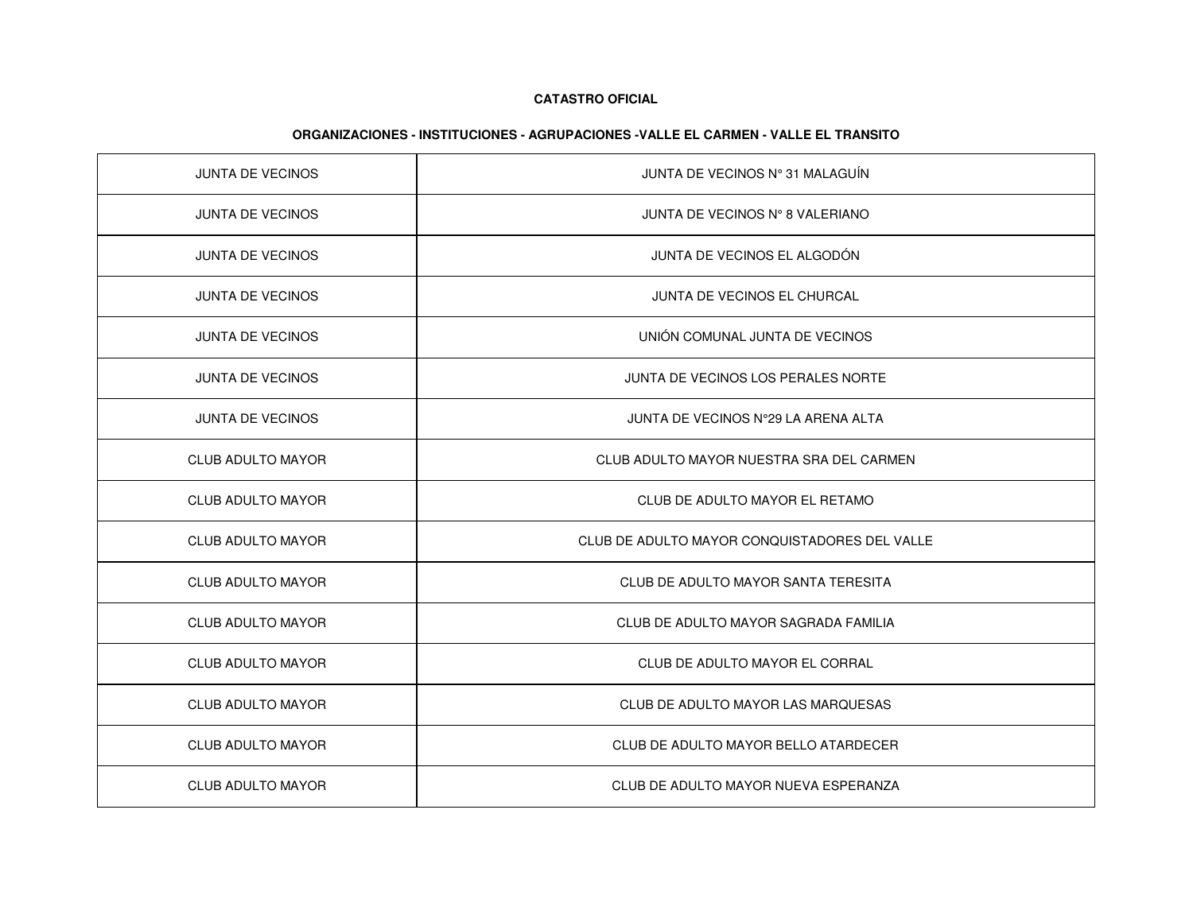| <b>JUNTA DE VECINOS</b>  | JUNTA DE VECINOS Nº 31 MALAGUÍN               |
|--------------------------|-----------------------------------------------|
| <b>JUNTA DE VECINOS</b>  | JUNTA DE VECINOS Nº 8 VALERIANO               |
| <b>JUNTA DE VECINOS</b>  | JUNTA DE VECINOS EL ALGODÓN                   |
| JUNTA DE VECINOS         | JUNTA DE VECINOS EL CHURCAL                   |
| <b>JUNTA DE VECINOS</b>  | UNIÓN COMUNAL JUNTA DE VECINOS                |
| <b>JUNTA DE VECINOS</b>  | JUNTA DE VECINOS LOS PERALES NORTE            |
| <b>JUNTA DE VECINOS</b>  | JUNTA DE VECINOS Nº29 LA ARENA ALTA           |
| <b>CLUB ADULTO MAYOR</b> | CLUB ADULTO MAYOR NUESTRA SRA DEL CARMEN      |
| <b>CLUB ADULTO MAYOR</b> | CLUB DE ADULTO MAYOR EL RETAMO                |
| <b>CLUB ADULTO MAYOR</b> | CLUB DE ADULTO MAYOR CONQUISTADORES DEL VALLE |
| <b>CLUB ADULTO MAYOR</b> | CLUB DE ADULTO MAYOR SANTA TERESITA           |
| <b>CLUB ADULTO MAYOR</b> | CLUB DE ADULTO MAYOR SAGRADA FAMILIA          |
| <b>CLUB ADULTO MAYOR</b> | CLUB DE ADULTO MAYOR EL CORRAL                |
| <b>CLUB ADULTO MAYOR</b> | CLUB DE ADULTO MAYOR LAS MARQUESAS            |
| <b>CLUB ADULTO MAYOR</b> | CLUB DE ADULTO MAYOR BELLO ATARDECER          |
| <b>CLUB ADULTO MAYOR</b> | CLUB DE ADULTO MAYOR NUEVA ESPERANZA          |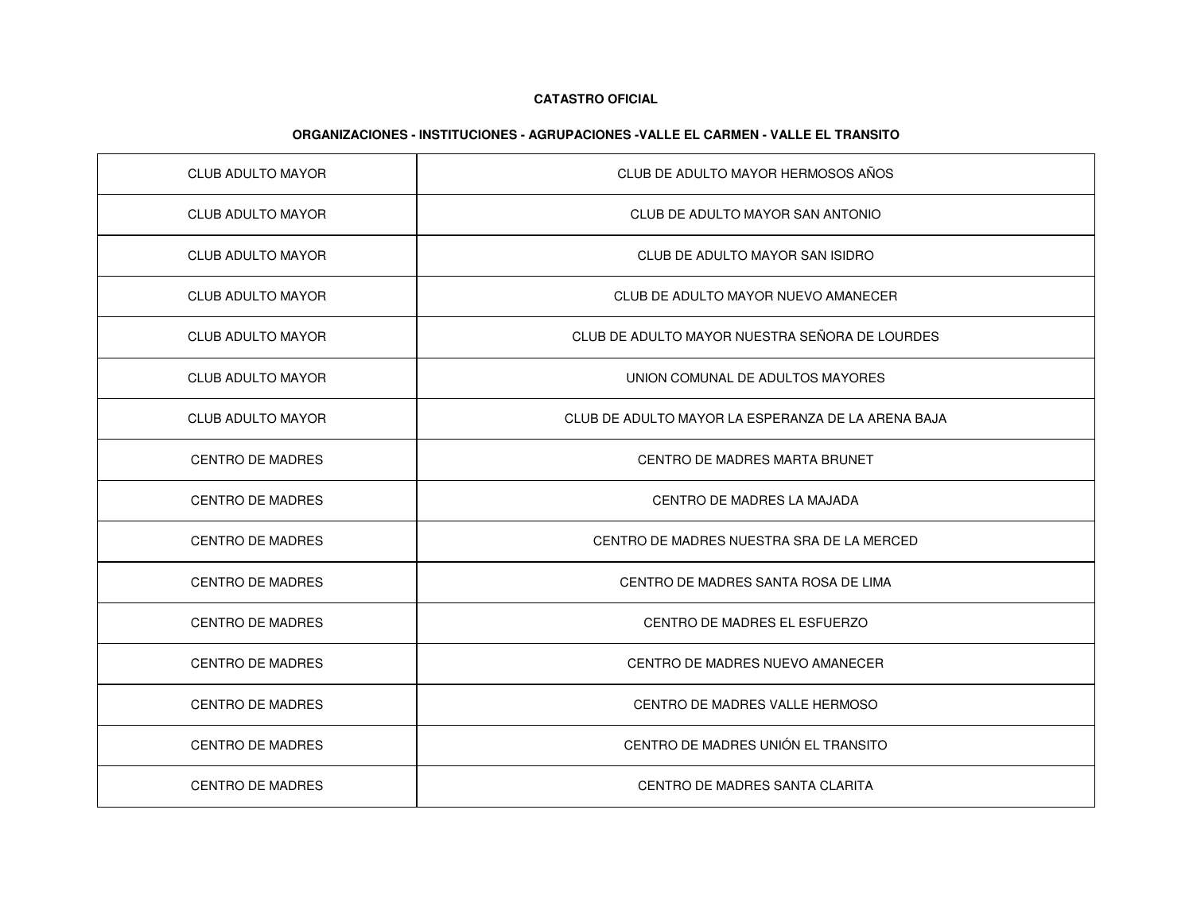| <b>CLUB ADULTO MAYOR</b> | CLUB DE ADULTO MAYOR HERMOSOS AÑOS                 |
|--------------------------|----------------------------------------------------|
| <b>CLUB ADULTO MAYOR</b> | CLUB DE ADULTO MAYOR SAN ANTONIO                   |
| <b>CLUB ADULTO MAYOR</b> | CLUB DE ADULTO MAYOR SAN ISIDRO                    |
| <b>CLUB ADULTO MAYOR</b> | CLUB DE ADULTO MAYOR NUEVO AMANECER                |
| <b>CLUB ADULTO MAYOR</b> | CLUB DE ADULTO MAYOR NUESTRA SEÑORA DE LOURDES     |
| <b>CLUB ADULTO MAYOR</b> | UNION COMUNAL DE ADULTOS MAYORES                   |
| <b>CLUB ADULTO MAYOR</b> | CLUB DE ADULTO MAYOR LA ESPERANZA DE LA ARENA BAJA |
| <b>CENTRO DE MADRES</b>  | CENTRO DE MADRES MARTA BRUNET                      |
| <b>CENTRO DE MADRES</b>  | CENTRO DE MADRES LA MAJADA                         |
| CENTRO DE MADRES         | CENTRO DE MADRES NUESTRA SRA DE LA MERCED          |
| <b>CENTRO DE MADRES</b>  | CENTRO DE MADRES SANTA ROSA DE LIMA                |
| <b>CENTRO DE MADRES</b>  | CENTRO DE MADRES EL ESFUERZO                       |
| <b>CENTRO DE MADRES</b>  | CENTRO DE MADRES NUEVO AMANECER                    |
| <b>CENTRO DE MADRES</b>  | CENTRO DE MADRES VALLE HERMOSO                     |
| <b>CENTRO DE MADRES</b>  | CENTRO DE MADRES UNIÓN EL TRANSITO                 |
| <b>CENTRO DE MADRES</b>  | CENTRO DE MADRES SANTA CLARITA                     |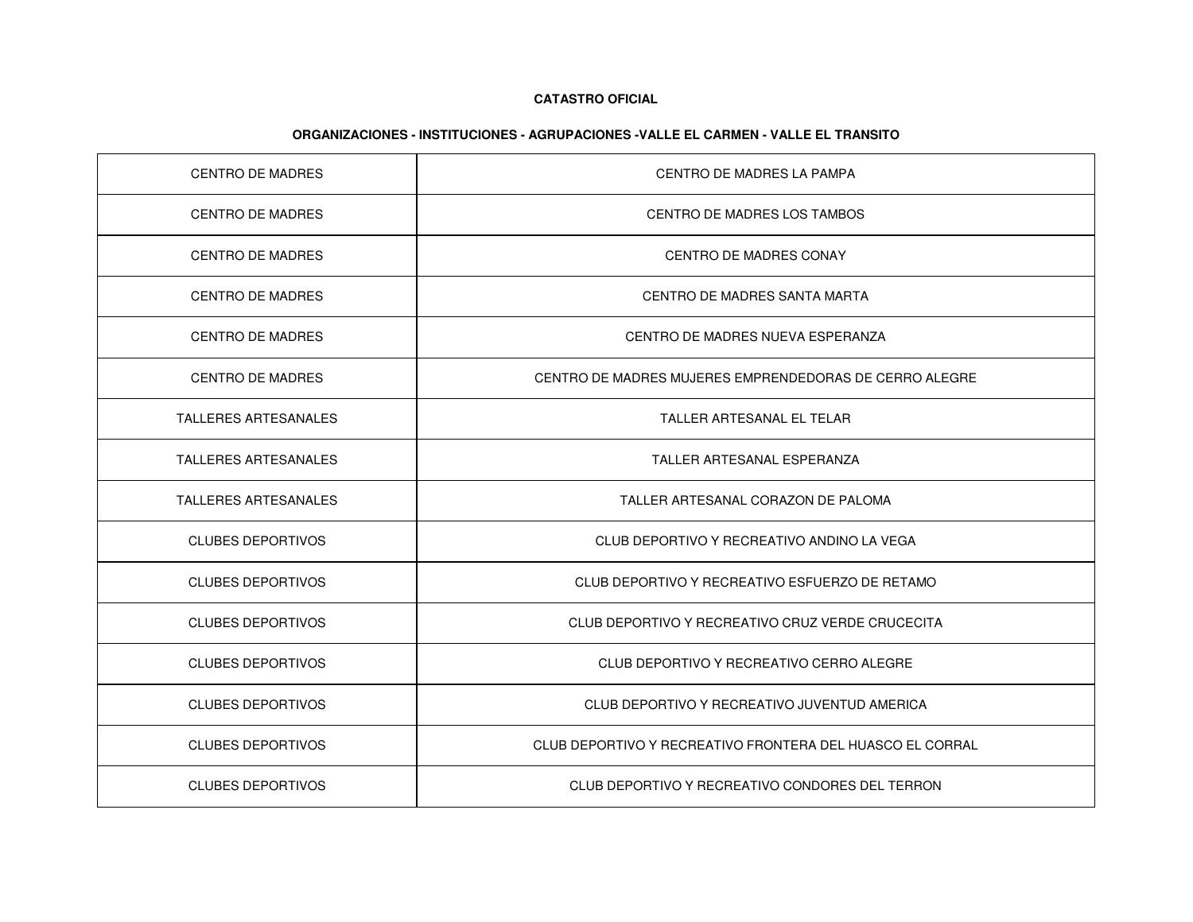| CENTRO DE MADRES            | <b>CENTRO DE MADRES LA PAMPA</b>                          |
|-----------------------------|-----------------------------------------------------------|
| <b>CENTRO DE MADRES</b>     | CENTRO DE MADRES LOS TAMBOS                               |
| <b>CENTRO DE MADRES</b>     | <b>CENTRO DE MADRES CONAY</b>                             |
| <b>CENTRO DE MADRES</b>     | CENTRO DE MADRES SANTA MARTA                              |
| <b>CENTRO DE MADRES</b>     | CENTRO DE MADRES NUEVA ESPERANZA                          |
| <b>CENTRO DE MADRES</b>     | CENTRO DE MADRES MUJERES EMPRENDEDORAS DE CERRO ALEGRE    |
| <b>TALLERES ARTESANALES</b> | TALLER ARTESANAL EL TELAR                                 |
| <b>TALLERES ARTESANALES</b> | TALLER ARTESANAL ESPERANZA                                |
| <b>TALLERES ARTESANALES</b> | TALLER ARTESANAL CORAZON DE PALOMA                        |
| <b>CLUBES DEPORTIVOS</b>    | CLUB DEPORTIVO Y RECREATIVO ANDINO LA VEGA                |
| <b>CLUBES DEPORTIVOS</b>    | CLUB DEPORTIVO Y RECREATIVO ESFUERZO DE RETAMO            |
| <b>CLUBES DEPORTIVOS</b>    | CLUB DEPORTIVO Y RECREATIVO CRUZ VERDE CRUCECITA          |
| <b>CLUBES DEPORTIVOS</b>    | CLUB DEPORTIVO Y RECREATIVO CERRO ALEGRE                  |
| <b>CLUBES DEPORTIVOS</b>    | CLUB DEPORTIVO Y RECREATIVO JUVENTUD AMERICA              |
| <b>CLUBES DEPORTIVOS</b>    | CLUB DEPORTIVO Y RECREATIVO FRONTERA DEL HUASCO EL CORRAL |
| <b>CLUBES DEPORTIVOS</b>    | CLUB DEPORTIVO Y RECREATIVO CONDORES DEL TERRON           |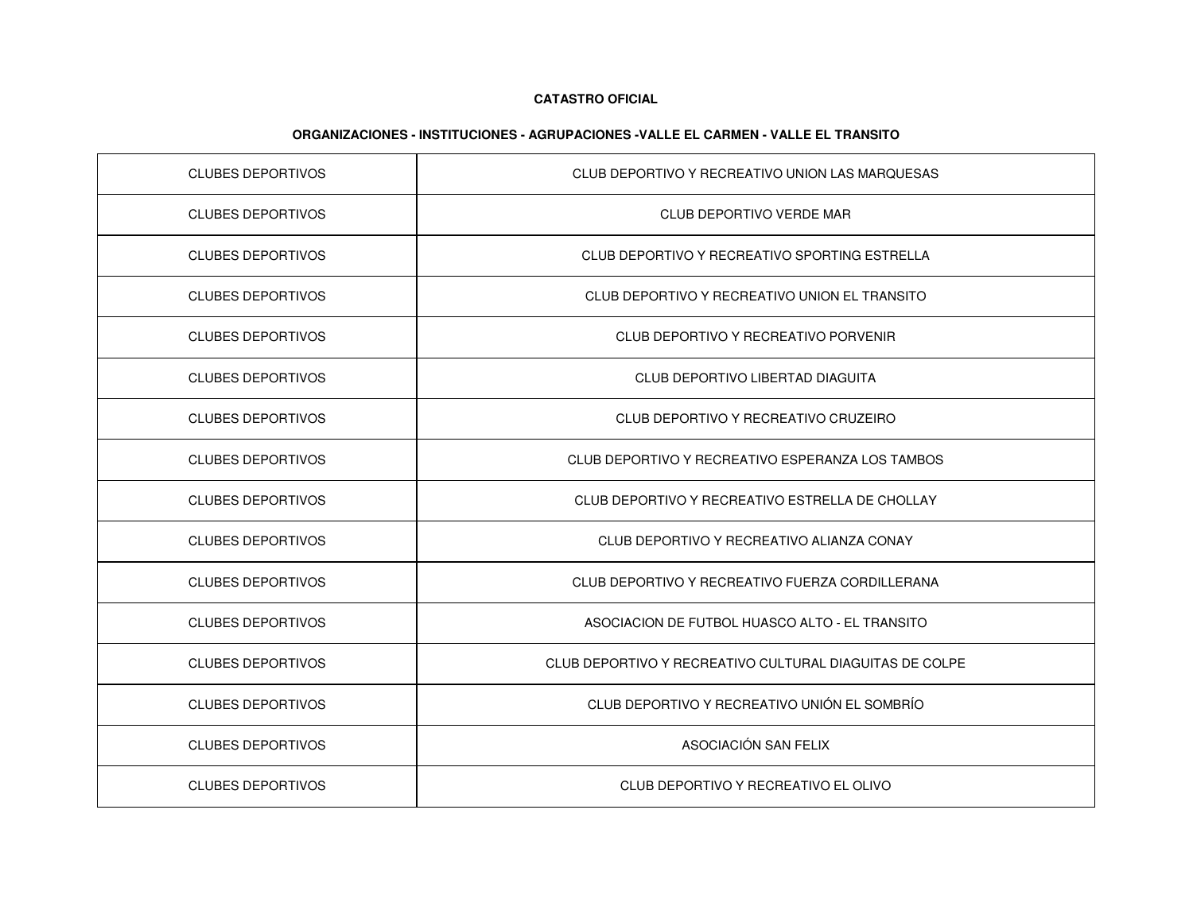| <b>CLUBES DEPORTIVOS</b> | CLUB DEPORTIVO Y RECREATIVO UNION LAS MARQUESAS         |
|--------------------------|---------------------------------------------------------|
| <b>CLUBES DEPORTIVOS</b> | CLUB DEPORTIVO VERDE MAR                                |
| <b>CLUBES DEPORTIVOS</b> | CLUB DEPORTIVO Y RECREATIVO SPORTING ESTRELLA           |
| <b>CLUBES DEPORTIVOS</b> | CLUB DEPORTIVO Y RECREATIVO UNION EL TRANSITO           |
| <b>CLUBES DEPORTIVOS</b> | CLUB DEPORTIVO Y RECREATIVO PORVENIR                    |
| <b>CLUBES DEPORTIVOS</b> | CLUB DEPORTIVO LIBERTAD DIAGUITA                        |
| <b>CLUBES DEPORTIVOS</b> | CLUB DEPORTIVO Y RECREATIVO CRUZEIRO                    |
| <b>CLUBES DEPORTIVOS</b> | CLUB DEPORTIVO Y RECREATIVO ESPERANZA LOS TAMBOS        |
| <b>CLUBES DEPORTIVOS</b> | CLUB DEPORTIVO Y RECREATIVO ESTRELLA DE CHOLLAY         |
| <b>CLUBES DEPORTIVOS</b> | CLUB DEPORTIVO Y RECREATIVO ALIANZA CONAY               |
| <b>CLUBES DEPORTIVOS</b> | CLUB DEPORTIVO Y RECREATIVO FUERZA CORDILLERANA         |
| <b>CLUBES DEPORTIVOS</b> | ASOCIACION DE FUTBOL HUASCO ALTO - EL TRANSITO          |
| <b>CLUBES DEPORTIVOS</b> | CLUB DEPORTIVO Y RECREATIVO CULTURAL DIAGUITAS DE COLPE |
| <b>CLUBES DEPORTIVOS</b> | CLUB DEPORTIVO Y RECREATIVO UNIÓN EL SOMBRÍO            |
| <b>CLUBES DEPORTIVOS</b> | ASOCIACIÓN SAN FELIX                                    |
| <b>CLUBES DEPORTIVOS</b> | CLUB DEPORTIVO Y RECREATIVO EL OLIVO                    |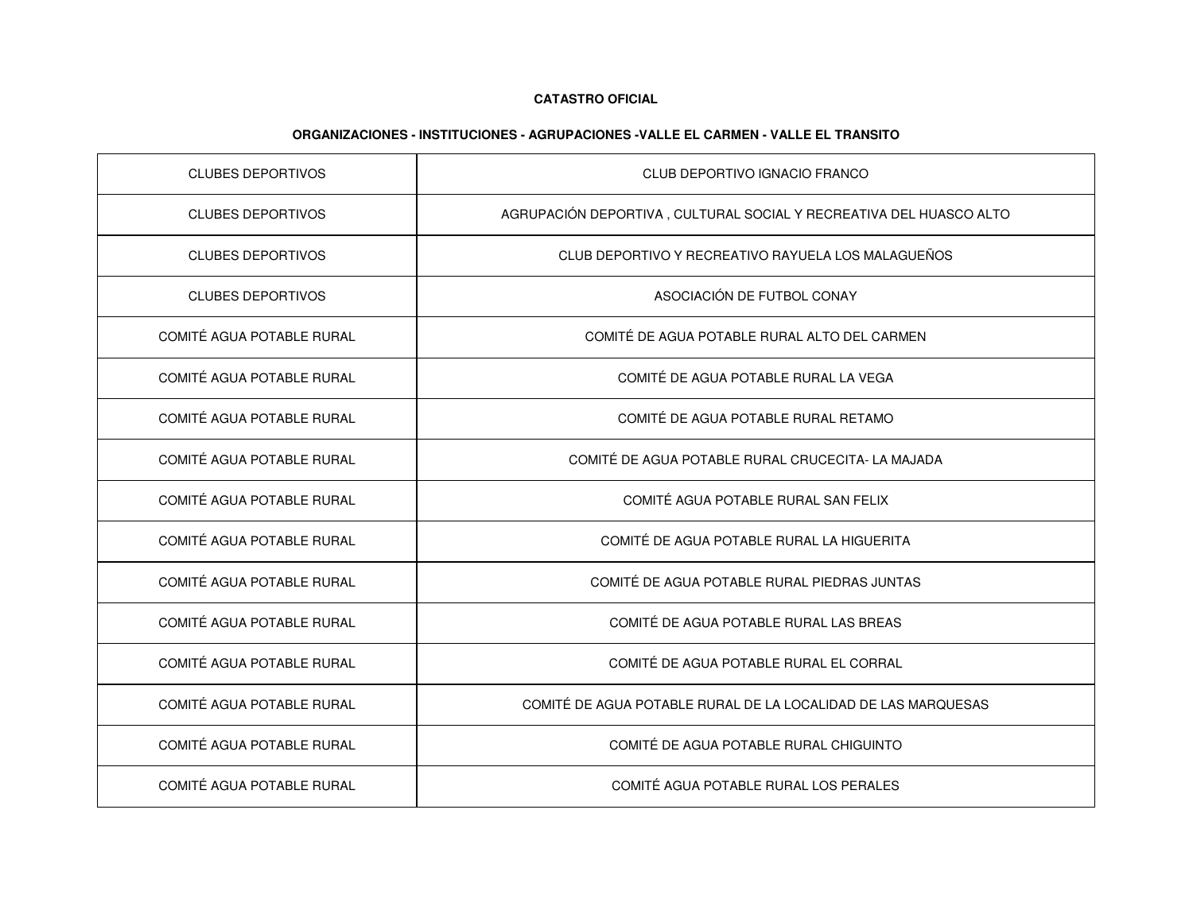| <b>CLUBES DEPORTIVOS</b>         | CLUB DEPORTIVO IGNACIO FRANCO                                      |
|----------------------------------|--------------------------------------------------------------------|
| <b>CLUBES DEPORTIVOS</b>         | AGRUPACIÓN DEPORTIVA, CULTURAL SOCIAL Y RECREATIVA DEL HUASCO ALTO |
| <b>CLUBES DEPORTIVOS</b>         | CLUB DEPORTIVO Y RECREATIVO RAYUELA LOS MALAGUEÑOS                 |
| <b>CLUBES DEPORTIVOS</b>         | ASOCIACIÓN DE FUTBOL CONAY                                         |
| <b>COMITÉ AGUA POTABLE RURAL</b> | COMITÉ DE AGUA POTABLE RURAL ALTO DEL CARMEN                       |
| COMITÉ AGUA POTABLE RURAL        | COMITÉ DE AGUA POTABLE RURAL LA VEGA                               |
| COMITÉ AGUA POTABLE RURAL        | COMITÉ DE AGUA POTABLE RURAL RETAMO                                |
| COMITÉ AGUA POTABLE RURAL        | COMITÉ DE AGUA POTABLE RURAL CRUCECITA- LA MAJADA                  |
| COMITÉ AGUA POTABLE RURAL        | COMITÉ AGUA POTABLE RURAL SAN FELIX                                |
| COMITÉ AGUA POTABLE RURAL        | COMITÉ DE AGUA POTABLE RURAL LA HIGUERITA                          |
| COMITÉ AGUA POTABLE RURAL        | COMITÉ DE AGUA POTABLE RURAL PIEDRAS JUNTAS                        |
| COMITÉ AGUA POTABLE RURAL        | COMITÉ DE AGUA POTABLE RURAL LAS BREAS                             |
| COMITÉ AGUA POTABLE RURAL        | COMITÉ DE AGUA POTABLE RURAL EL CORRAL                             |
| COMITÉ AGUA POTABLE RURAL        | COMITÉ DE AGUA POTABLE RURAL DE LA LOCALIDAD DE LAS MARQUESAS      |
| COMITÉ AGUA POTABLE RURAL        | COMITÉ DE AGUA POTABLE RURAL CHIGUINTO                             |
| <b>COMITÉ AGUA POTABLE RURAL</b> | COMITÉ AGUA POTABLE RURAL LOS PERALES                              |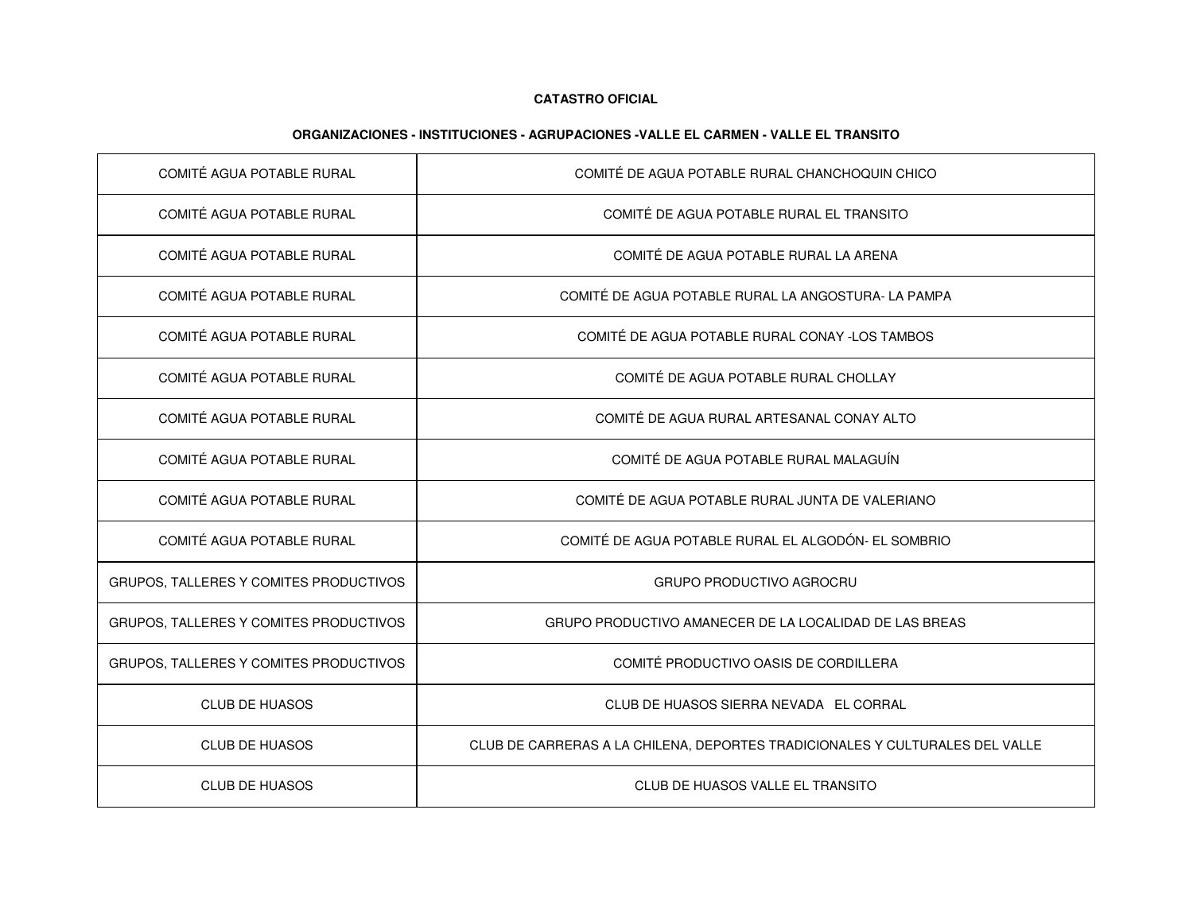| COMITÉ AGUA POTABLE RURAL              | COMITÉ DE AGUA POTABLE RURAL CHANCHOQUIN CHICO                               |
|----------------------------------------|------------------------------------------------------------------------------|
| COMITÉ AGUA POTABLE RURAL              | COMITÉ DE AGUA POTABLE RURAL EL TRANSITO                                     |
| COMITÉ AGUA POTABLE RURAL              | COMITÉ DE AGUA POTABLE RURAL LA ARENA                                        |
| COMITÉ AGUA POTABLE RURAL              | COMITÉ DE AGUA POTABLE RURAL LA ANGOSTURA- LA PAMPA                          |
| COMITÉ AGUA POTABLE RURAL              | COMITÉ DE AGUA POTABLE RURAL CONAY -LOS TAMBOS                               |
| COMITÉ AGUA POTABLE RURAL              | COMITÉ DE AGUA POTABLE RURAL CHOLLAY                                         |
| COMITÉ AGUA POTABLE RURAL              | COMITÉ DE AGUA RURAL ARTESANAL CONAY ALTO                                    |
| COMITÉ AGUA POTABLE RURAL              | COMITÉ DE AGUA POTABLE RURAL MALAGUÍN                                        |
| COMITÉ AGUA POTABLE RURAL              | COMITÉ DE AGUA POTABLE RURAL JUNTA DE VALERIANO                              |
| COMITÉ AGUA POTABLE RURAL              | COMITÉ DE AGUA POTABLE RURAL EL ALGODÓN- EL SOMBRIO                          |
| GRUPOS, TALLERES Y COMITES PRODUCTIVOS | <b>GRUPO PRODUCTIVO AGROCRU</b>                                              |
| GRUPOS, TALLERES Y COMITES PRODUCTIVOS | GRUPO PRODUCTIVO AMANECER DE LA LOCALIDAD DE LAS BREAS                       |
| GRUPOS, TALLERES Y COMITES PRODUCTIVOS | COMITÉ PRODUCTIVO OASIS DE CORDILLERA                                        |
| <b>CLUB DE HUASOS</b>                  | CLUB DE HUASOS SIERRA NEVADA EL CORRAL                                       |
| <b>CLUB DE HUASOS</b>                  | CLUB DE CARRERAS A LA CHILENA, DEPORTES TRADICIONALES Y CULTURALES DEL VALLE |
| <b>CLUB DE HUASOS</b>                  | CLUB DE HUASOS VALLE EL TRANSITO                                             |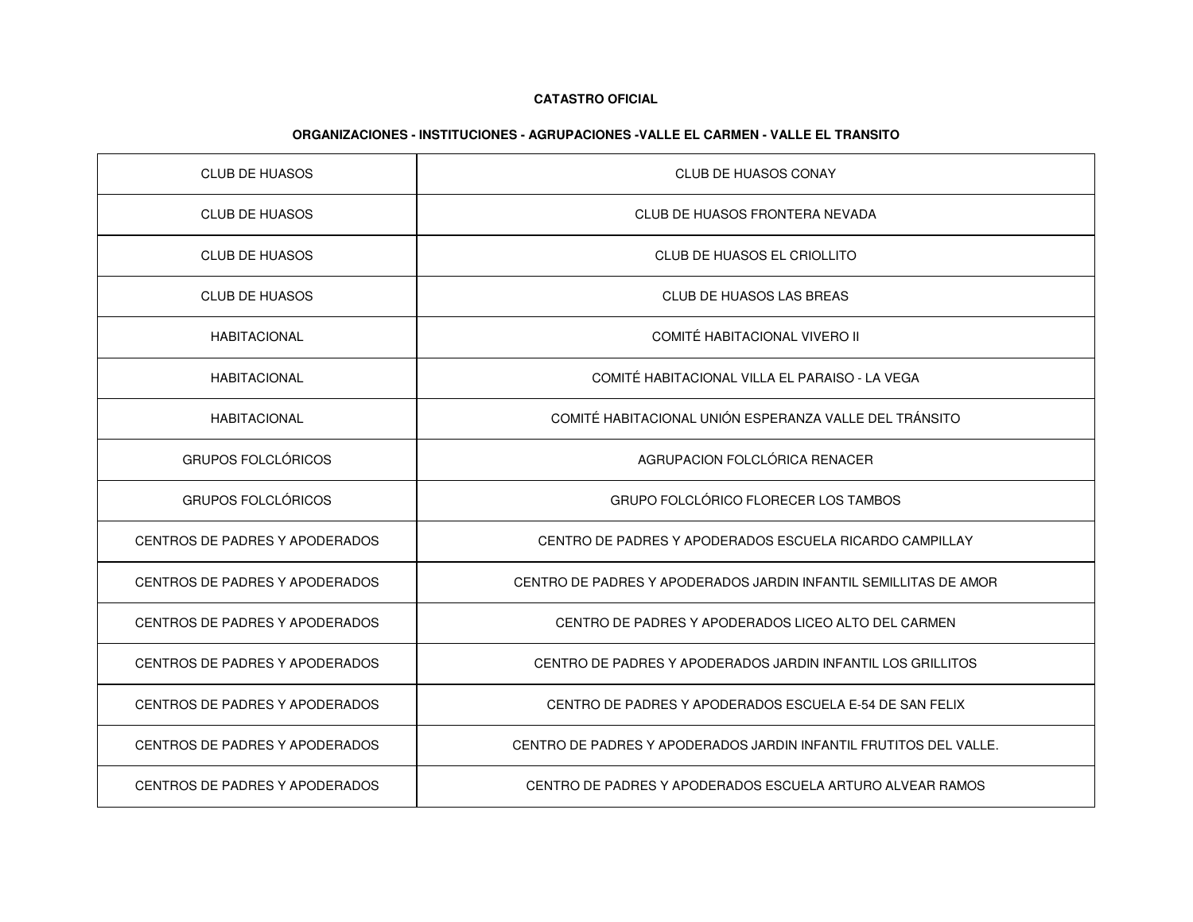| <b>CLUB DE HUASOS</b>                 | <b>CLUB DE HUASOS CONAY</b>                                       |
|---------------------------------------|-------------------------------------------------------------------|
| <b>CLUB DE HUASOS</b>                 | CLUB DE HUASOS FRONTERA NEVADA                                    |
| <b>CLUB DE HUASOS</b>                 | CLUB DE HUASOS EL CRIOLLITO                                       |
| <b>CLUB DE HUASOS</b>                 | CLUB DE HUASOS LAS BREAS                                          |
| <b>HABITACIONAL</b>                   | COMITÉ HABITACIONAL VIVERO II                                     |
| <b>HABITACIONAL</b>                   | COMITÉ HABITACIONAL VILLA EL PARAISO - LA VEGA                    |
| <b>HABITACIONAL</b>                   | COMITÉ HABITACIONAL UNIÓN ESPERANZA VALLE DEL TRÁNSITO            |
| <b>GRUPOS FOLCLÓRICOS</b>             | AGRUPACION FOLCLÓRICA RENACER                                     |
| <b>GRUPOS FOLCLÓRICOS</b>             | GRUPO FOLCLÓRICO FLORECER LOS TAMBOS                              |
| <b>CENTROS DE PADRES Y APODERADOS</b> | CENTRO DE PADRES Y APODERADOS ESCUELA RICARDO CAMPILLAY           |
| CENTROS DE PADRES Y APODERADOS        | CENTRO DE PADRES Y APODERADOS JARDIN INFANTIL SEMILLITAS DE AMOR  |
| CENTROS DE PADRES Y APODERADOS        | CENTRO DE PADRES Y APODERADOS LICEO ALTO DEL CARMEN               |
| CENTROS DE PADRES Y APODERADOS        | CENTRO DE PADRES Y APODERADOS JARDIN INFANTIL LOS GRILLITOS       |
| <b>CENTROS DE PADRES Y APODERADOS</b> | CENTRO DE PADRES Y APODERADOS ESCUELA E-54 DE SAN FELIX           |
| <b>CENTROS DE PADRES Y APODERADOS</b> | CENTRO DE PADRES Y APODERADOS JARDIN INFANTIL FRUTITOS DEL VALLE. |
| CENTROS DE PADRES Y APODERADOS        | CENTRO DE PADRES Y APODERADOS ESCUELA ARTURO ALVEAR RAMOS         |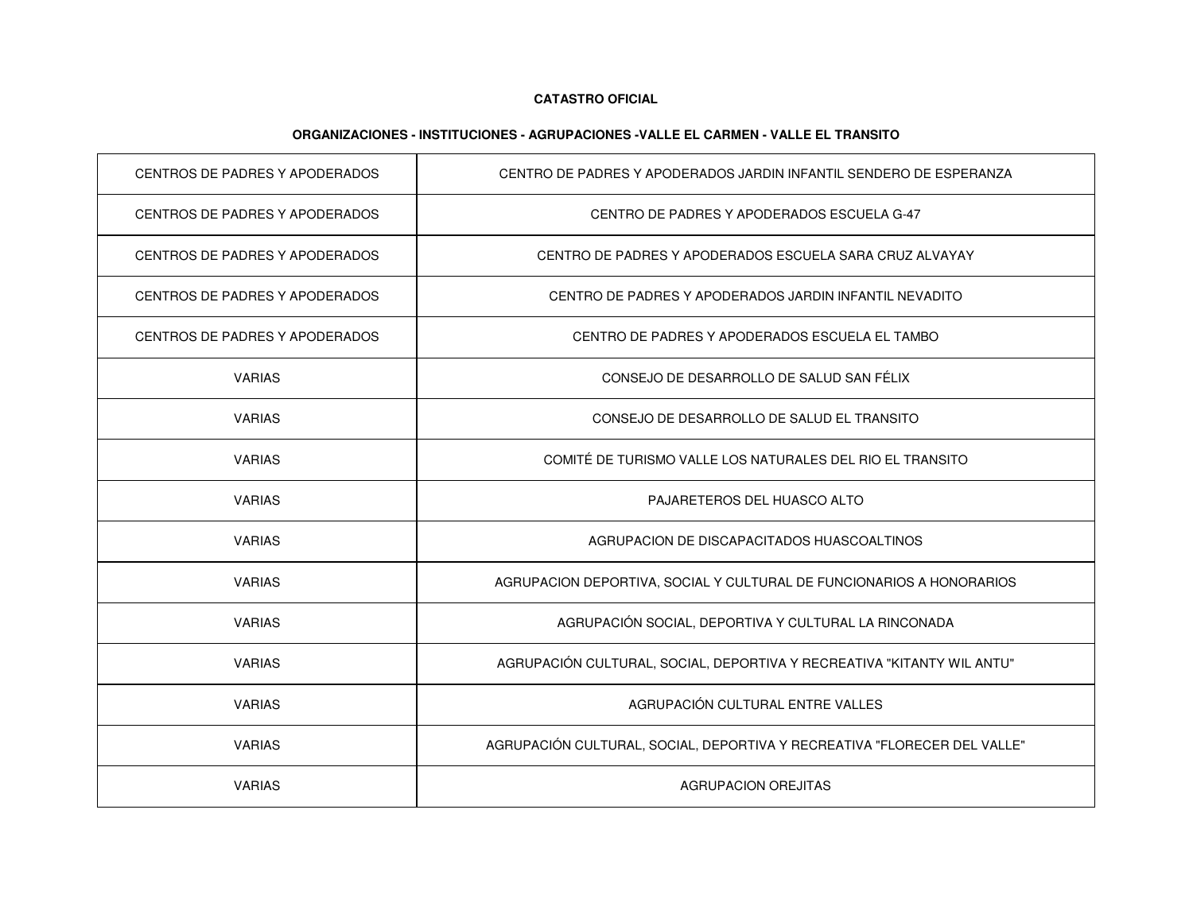| CENTROS DE PADRES Y APODERADOS | CENTRO DE PADRES Y APODERADOS JARDIN INFANTIL SENDERO DE ESPERANZA       |
|--------------------------------|--------------------------------------------------------------------------|
| CENTROS DE PADRES Y APODERADOS | CENTRO DE PADRES Y APODERADOS ESCUELA G-47                               |
| CENTROS DE PADRES Y APODERADOS | CENTRO DE PADRES Y APODERADOS ESCUELA SARA CRUZ ALVAYAY                  |
| CENTROS DE PADRES Y APODERADOS | CENTRO DE PADRES Y APODERADOS JARDIN INFANTIL NEVADITO                   |
| CENTROS DE PADRES Y APODERADOS | CENTRO DE PADRES Y APODERADOS ESCUELA EL TAMBO                           |
| <b>VARIAS</b>                  | CONSEJO DE DESARROLLO DE SALUD SAN FÉLIX                                 |
| <b>VARIAS</b>                  | CONSEJO DE DESARROLLO DE SALUD EL TRANSITO                               |
| <b>VARIAS</b>                  | COMITÉ DE TURISMO VALLE LOS NATURALES DEL RIO EL TRANSITO                |
| <b>VARIAS</b>                  | PAJARETEROS DEL HUASCO ALTO                                              |
| <b>VARIAS</b>                  | AGRUPACION DE DISCAPACITADOS HUASCOALTINOS                               |
| <b>VARIAS</b>                  | AGRUPACION DEPORTIVA, SOCIAL Y CULTURAL DE FUNCIONARIOS A HONORARIOS     |
| <b>VARIAS</b>                  | AGRUPACIÓN SOCIAL, DEPORTIVA Y CULTURAL LA RINCONADA                     |
| <b>VARIAS</b>                  | AGRUPACIÓN CULTURAL, SOCIAL, DEPORTIVA Y RECREATIVA "KITANTY WIL ANTU"   |
| <b>VARIAS</b>                  | AGRUPACIÓN CULTURAL ENTRE VALLES                                         |
| <b>VARIAS</b>                  | AGRUPACIÓN CULTURAL, SOCIAL, DEPORTIVA Y RECREATIVA "FLORECER DEL VALLE" |
| <b>VARIAS</b>                  | AGRUPACION OREJITAS                                                      |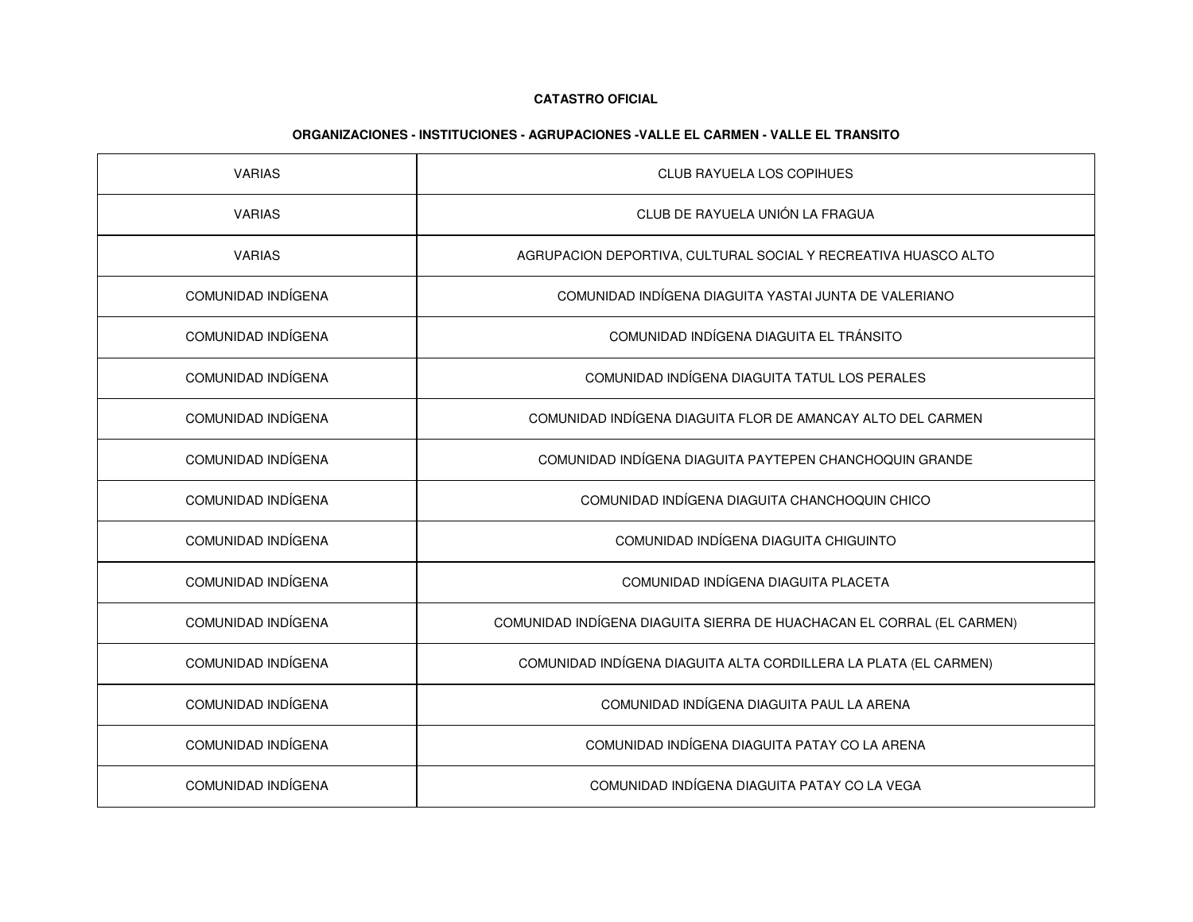| <b>VARIAS</b>      | <b>CLUB RAYUELA LOS COPIHUES</b>                                      |
|--------------------|-----------------------------------------------------------------------|
| <b>VARIAS</b>      | CLUB DE RAYUELA UNIÓN LA FRAGUA                                       |
| <b>VARIAS</b>      | AGRUPACION DEPORTIVA, CULTURAL SOCIAL Y RECREATIVA HUASCO ALTO        |
| COMUNIDAD INDÍGENA | COMUNIDAD INDÍGENA DIAGUITA YASTAI JUNTA DE VALERIANO                 |
| COMUNIDAD INDÍGENA | COMUNIDAD INDÍGENA DIAGUITA EL TRÁNSITO                               |
| COMUNIDAD INDÍGENA | COMUNIDAD INDÍGENA DIAGUITA TATUL LOS PERALES                         |
| COMUNIDAD INDÍGENA | COMUNIDAD INDÍGENA DIAGUITA FLOR DE AMANCAY ALTO DEL CARMEN           |
| COMUNIDAD INDÍGENA | COMUNIDAD INDÍGENA DIAGUITA PAYTEPEN CHANCHOQUIN GRANDE               |
| COMUNIDAD INDÍGENA | COMUNIDAD INDÍGENA DIAGUITA CHANCHOQUIN CHICO                         |
| COMUNIDAD INDÍGENA | COMUNIDAD INDÍGENA DIAGUITA CHIGUINTO                                 |
| COMUNIDAD INDÍGENA | COMUNIDAD INDÍGENA DIAGUITA PLACETA                                   |
| COMUNIDAD INDÍGENA | COMUNIDAD INDÍGENA DIAGUITA SIERRA DE HUACHACAN EL CORRAL (EL CARMEN) |
| COMUNIDAD INDÍGENA | COMUNIDAD INDÍGENA DIAGUITA ALTA CORDILLERA LA PLATA (EL CARMEN)      |
| COMUNIDAD INDÍGENA | COMUNIDAD INDÍGENA DIAGUITA PAUL LA ARENA                             |
| COMUNIDAD INDÍGENA | COMUNIDAD INDÍGENA DIAGUITA PATAY CO LA ARENA                         |
| COMUNIDAD INDÍGENA | COMUNIDAD INDÍGENA DIAGUITA PATAY CO LA VEGA                          |